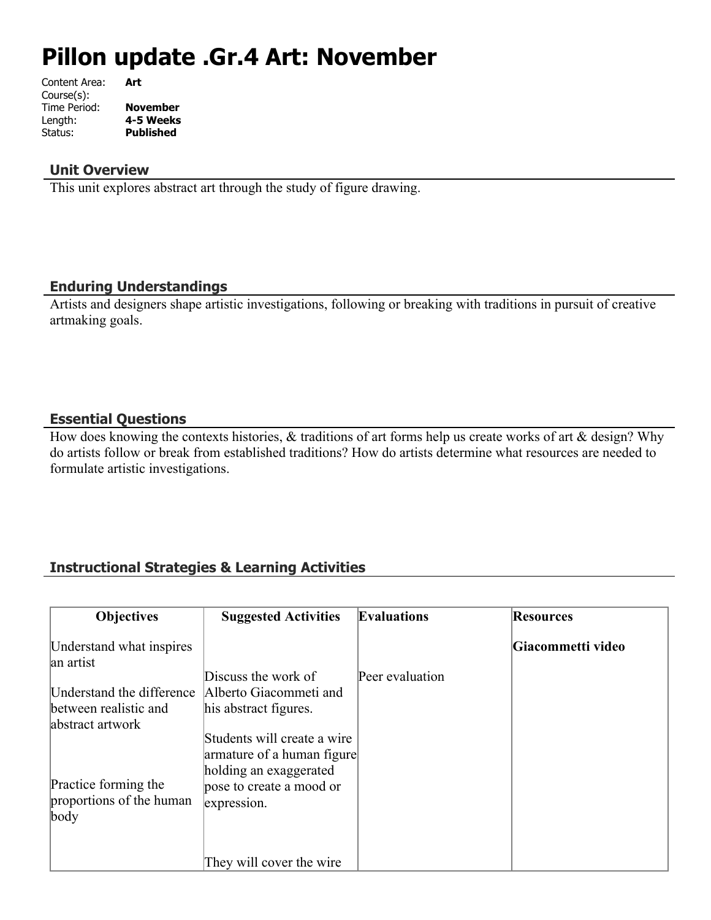# **Pillon update .Gr.4 Art: November**

| Content Area: | Art             |
|---------------|-----------------|
| Course(s):    |                 |
| Time Period:  | <b>November</b> |
| Length:       | 4-5 Weeks       |
| Status:       | Published       |
|               |                 |

#### **Unit Overview**

This unit explores abstract art through the study of figure drawing.

#### **Enduring Understandings**

Artists and designers shape artistic investigations, following or breaking with traditions in pursuit of creative artmaking goals.

## **Essential Questions**

How does knowing the contexts histories,  $\&$  traditions of art forms help us create works of art  $\&$  design? Why do artists follow or break from established traditions? How do artists determine what resources are needed to formulate artistic investigations.

## **Instructional Strategies & Learning Activities**

| <b>Objectives</b>                         | <b>Suggested Activities</b>                          | <b>Evaluations</b> | <b>Resources</b>  |
|-------------------------------------------|------------------------------------------------------|--------------------|-------------------|
| Understand what inspires<br>an artist     |                                                      |                    | Giacommetti video |
|                                           | Discuss the work of                                  | Peer evaluation    |                   |
| Understand the difference                 | Alberto Giacommeti and                               |                    |                   |
| between realistic and<br>abstract artwork | his abstract figures.                                |                    |                   |
|                                           | Students will create a wire                          |                    |                   |
|                                           | armature of a human figure<br>holding an exaggerated |                    |                   |
| Practice forming the                      | pose to create a mood or                             |                    |                   |
| proportions of the human<br>body          | expression.                                          |                    |                   |
|                                           |                                                      |                    |                   |
|                                           | They will cover the wire                             |                    |                   |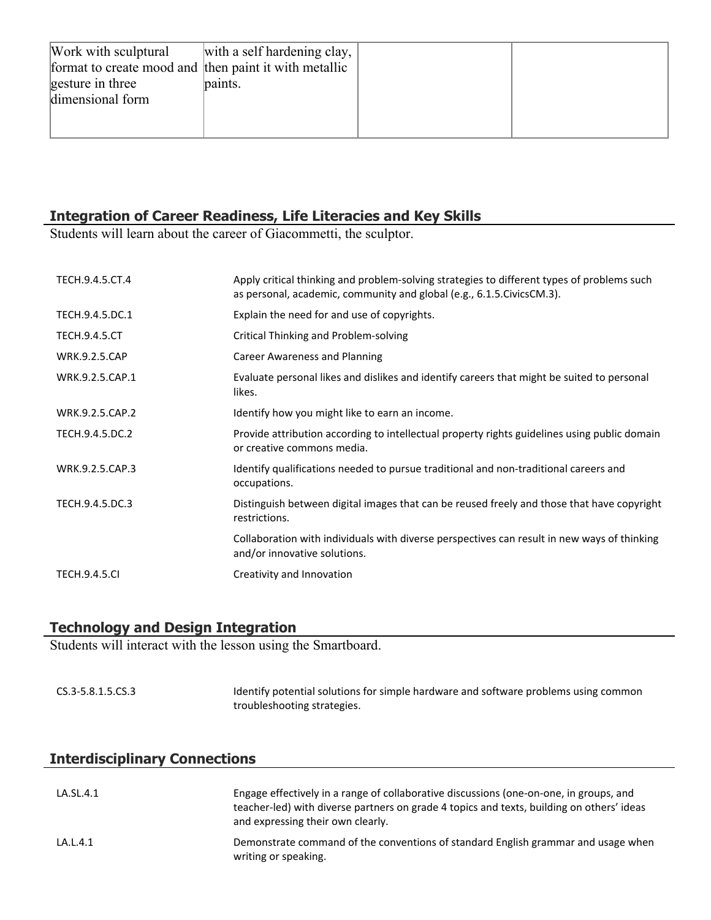| Work with sculptural<br>format to create mood and then paint it with metallic<br>gesture in three<br>dimensional form | with a self hardening clay,<br>paints. |  |
|-----------------------------------------------------------------------------------------------------------------------|----------------------------------------|--|
|                                                                                                                       |                                        |  |

## **Integration of Career Readiness, Life Literacies and Key Skills**

Students will learn about the career of Giacommetti, the sculptor.

| TECH.9.4.5.CT.4      | Apply critical thinking and problem-solving strategies to different types of problems such<br>as personal, academic, community and global (e.g., 6.1.5. Civics CM.3). |
|----------------------|-----------------------------------------------------------------------------------------------------------------------------------------------------------------------|
| TECH.9.4.5.DC.1      | Explain the need for and use of copyrights.                                                                                                                           |
| <b>TECH.9.4.5.CT</b> | <b>Critical Thinking and Problem-solving</b>                                                                                                                          |
| <b>WRK.9.2.5.CAP</b> | Career Awareness and Planning                                                                                                                                         |
| WRK.9.2.5.CAP.1      | Evaluate personal likes and dislikes and identify careers that might be suited to personal<br>likes.                                                                  |
| WRK.9.2.5.CAP.2      | Identify how you might like to earn an income.                                                                                                                        |
| TECH.9.4.5.DC.2      | Provide attribution according to intellectual property rights guidelines using public domain<br>or creative commons media.                                            |
| WRK.9.2.5.CAP.3      | Identify qualifications needed to pursue traditional and non-traditional careers and<br>occupations.                                                                  |
| TECH.9.4.5.DC.3      | Distinguish between digital images that can be reused freely and those that have copyright<br>restrictions.                                                           |
|                      | Collaboration with individuals with diverse perspectives can result in new ways of thinking<br>and/or innovative solutions.                                           |
| <b>TECH.9.4.5.CI</b> | Creativity and Innovation                                                                                                                                             |

## **Technology and Design Integration**

Students will interact with the lesson using the Smartboard.

| CS.3-5.8.1.5.CS.3 | Identify potential solutions for simple hardware and software problems using common |
|-------------------|-------------------------------------------------------------------------------------|
|                   | troubleshooting strategies.                                                         |

## **Interdisciplinary Connections**

| LA.SL.4.1 | Engage effectively in a range of collaborative discussions (one-on-one, in groups, and<br>teacher-led) with diverse partners on grade 4 topics and texts, building on others' ideas<br>and expressing their own clearly. |
|-----------|--------------------------------------------------------------------------------------------------------------------------------------------------------------------------------------------------------------------------|
| LA.L.4.1  | Demonstrate command of the conventions of standard English grammar and usage when<br>writing or speaking.                                                                                                                |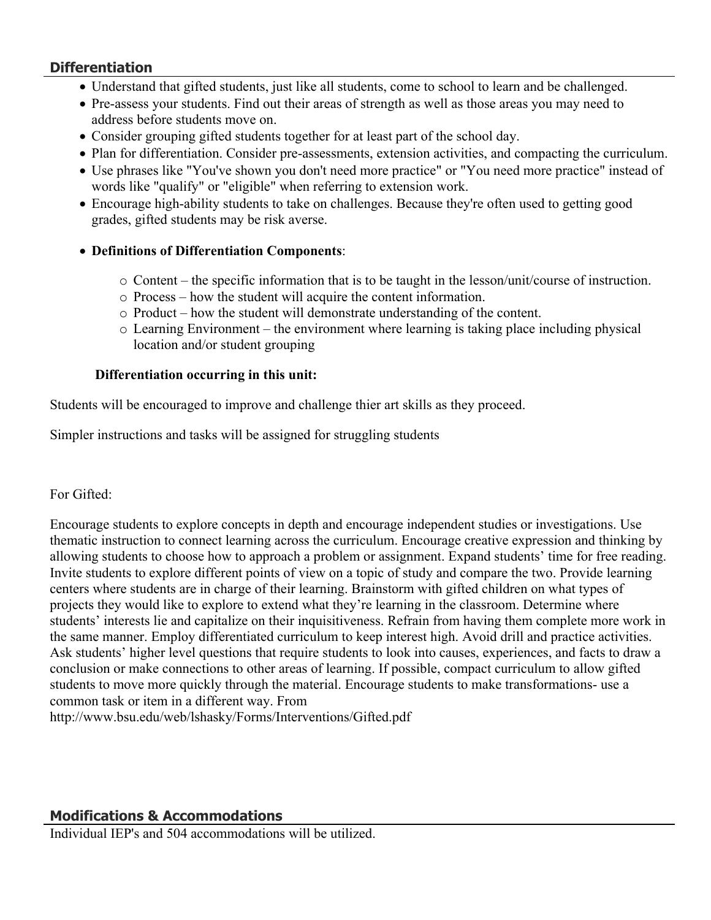## **Differentiation**

- Understand that gifted students, just like all students, come to school to learn and be challenged.
- Pre-assess your students. Find out their areas of strength as well as those areas you may need to address before students move on.
- Consider grouping gifted students together for at least part of the school day.
- Plan for differentiation. Consider pre-assessments, extension activities, and compacting the curriculum.
- Use phrases like "You've shown you don't need more practice" or "You need more practice" instead of words like "qualify" or "eligible" when referring to extension work.
- Encourage high-ability students to take on challenges. Because they're often used to getting good grades, gifted students may be risk averse.

## **Definitions of Differentiation Components**:

- o Content the specific information that is to be taught in the lesson/unit/course of instruction.
- o Process how the student will acquire the content information.
- o Product how the student will demonstrate understanding of the content.
- o Learning Environment the environment where learning is taking place including physical location and/or student grouping

## **Differentiation occurring in this unit:**

Students will be encouraged to improve and challenge thier art skills as they proceed.

Simpler instructions and tasks will be assigned for struggling students

## For Gifted:

Encourage students to explore concepts in depth and encourage independent studies or investigations. Use thematic instruction to connect learning across the curriculum. Encourage creative expression and thinking by allowing students to choose how to approach a problem or assignment. Expand students' time for free reading. Invite students to explore different points of view on a topic of study and compare the two. Provide learning centers where students are in charge of their learning. Brainstorm with gifted children on what types of projects they would like to explore to extend what they're learning in the classroom. Determine where students' interests lie and capitalize on their inquisitiveness. Refrain from having them complete more work in the same manner. Employ differentiated curriculum to keep interest high. Avoid drill and practice activities. Ask students' higher level questions that require students to look into causes, experiences, and facts to draw a conclusion or make connections to other areas of learning. If possible, compact curriculum to allow gifted students to move more quickly through the material. Encourage students to make transformations- use a common task or item in a different way. From

http://www.bsu.edu/web/lshasky/Forms/Interventions/Gifted.pdf

## **Modifications & Accommodations**

Individual IEP's and 504 accommodations will be utilized.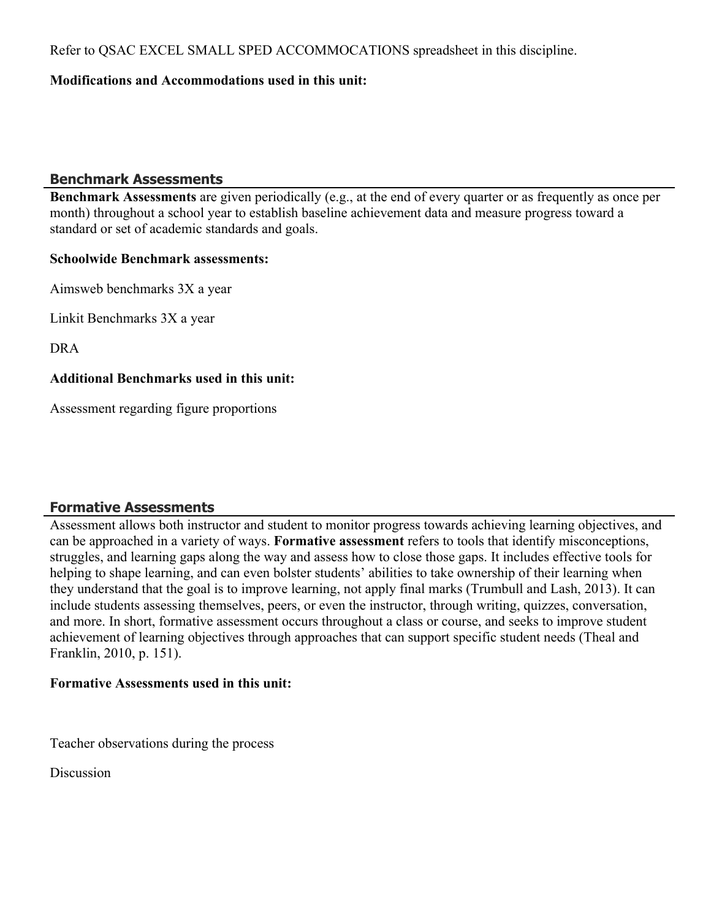Refer to QSAC EXCEL SMALL SPED ACCOMMOCATIONS spreadsheet in this discipline.

#### **Modifications and Accommodations used in this unit:**

#### **Benchmark Assessments**

**Benchmark Assessments** are given periodically (e.g., at the end of every quarter or as frequently as once per month) throughout a school year to establish baseline achievement data and measure progress toward a standard or set of academic standards and goals.

#### **Schoolwide Benchmark assessments:**

Aimsweb benchmarks 3X a year

Linkit Benchmarks 3X a year

DRA

## **Additional Benchmarks used in this unit:**

Assessment regarding figure proportions

## **Formative Assessments**

Assessment allows both instructor and student to monitor progress towards achieving learning objectives, and can be approached in a variety of ways. **Formative assessment** refers to tools that identify misconceptions, struggles, and learning gaps along the way and assess how to close those gaps. It includes effective tools for helping to shape learning, and can even bolster students' abilities to take ownership of their learning when they understand that the goal is to improve learning, not apply final marks (Trumbull and Lash, 2013). It can include students assessing themselves, peers, or even the instructor, through writing, quizzes, conversation, and more. In short, formative assessment occurs throughout a class or course, and seeks to improve student achievement of learning objectives through approaches that can support specific student needs (Theal and Franklin, 2010, p. 151).

#### **Formative Assessments used in this unit:**

Teacher observations during the process

**Discussion**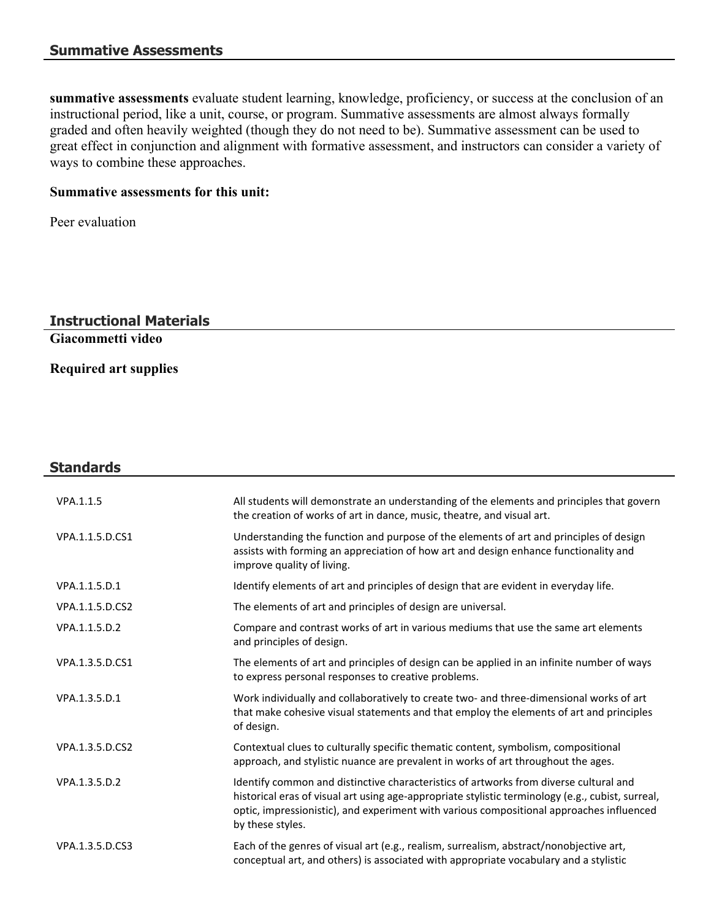**summative assessments** evaluate student learning, knowledge, proficiency, or success at the conclusion of an instructional period, like a unit, course, or program. Summative assessments are almost always formally graded and often heavily weighted (though they do not need to be). Summative assessment can be used to great effect in conjunction and alignment with formative assessment, and instructors can consider a variety of ways to combine these approaches.

### **Summative assessments for this unit:**

Peer evaluation

## **Instructional Materials**

**Giacommetti video**

**Required art supplies**

## **Standards** VPA.1.1.5 All students will demonstrate an understanding of the elements and principles that govern the creation of works of art in dance, music, theatre, and visual art. VPA.1.1.5.D.CS1 Understanding the function and purpose of the elements of art and principles of design assists with forming an appreciation of how art and design enhance functionality and improve quality of living. VPA.1.1.5.D.1 Identify elements of art and principles of design that are evident in everyday life. VPA.1.1.5.D.CS2 The elements of art and principles of design are universal. VPA.1.1.5.D.2 Compare and contrast works of art in various mediums that use the same art elements and principles of design. VPA.1.3.5.D.CS1 The elements of art and principles of design can be applied in an infinite number of ways to express personal responses to creative problems. VPA.1.3.5.D.1 Work individually and collaboratively to create two- and three-dimensional works of art that make cohesive visual statements and that employ the elements of art and principles of design. VPA.1.3.5.D.CS2 Contextual clues to culturally specific thematic content, symbolism, compositional approach, and stylistic nuance are prevalent in works of art throughout the ages. VPA.1.3.5.D.2 Identify common and distinctive characteristics of artworks from diverse cultural and historical eras of visual art using age-appropriate stylistic terminology (e.g., cubist, surreal, optic, impressionistic), and experiment with various compositional approaches influenced by these styles. VPA.1.3.5.D.CS3 Each of the genres of visual art (e.g., realism, surrealism, abstract/nonobjective art, conceptual art, and others) is associated with appropriate vocabulary and a stylistic